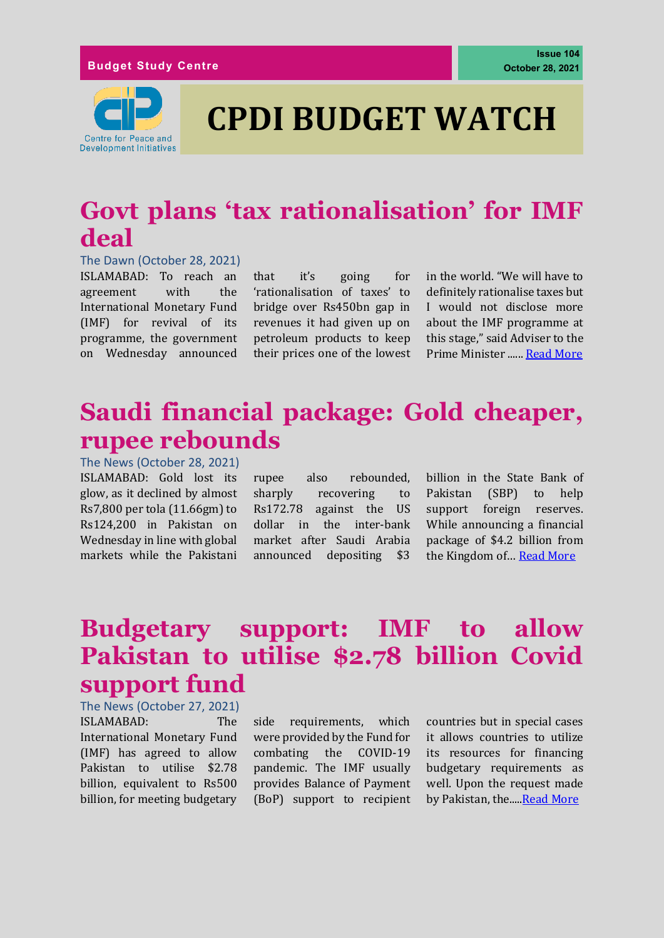

# **CPDI BUDGET WATCH**

# **Govt plans 'tax rationalisation' for IMF deal**

#### The Dawn (October 28, 2021)

ISLAMABAD: To reach an agreement with the International Monetary Fund (IMF) for revival of its programme, the government on Wednesday announced

that it's going for 'rationalisation of taxes' to bridge over Rs450bn gap in revenues it had given up on petroleum products to keep their prices one of the lowest in the world. "We will have to definitely rationalise taxes but I would not disclose more about the IMF programme at this stage," said Adviser to the Prime Minister ...... [Read More](dawn.com/news/1654436)

### **Saudi financial package: Gold cheaper, rupee rebounds**

The News (October 28, 2021) ISLAMABAD: Gold lost its glow, as it declined by almost Rs7,800 per tola (11.66gm) to Rs124,200 in Pakistan on Wednesday in line with global markets while the Pakistani

rupee also rebounded, sharply recovering to Rs172.78 against the US dollar in the inter-bank market after Saudi Arabia announced depositing \$3

billion in the State Bank of Pakistan (SBP) to help support foreign reserves. While announcing a financial package of \$4.2 billion from the Kingdom of… [Read More](https://www.thenews.com.pk/print/903632-saudi-financial-package-gold-dollar-get-cheaper)

# **Budgetary support: IMF to allow Pakistan to utilise \$2.78 billion Covid support fund**

The News (October 27, 2021) ISLAMABAD: The International Monetary Fund (IMF) has agreed to allow Pakistan to utilise \$2.78 billion, equivalent to Rs500 billion, for meeting budgetary

side requirements, which were provided by the Fund for combating the COVID-19 pandemic. The IMF usually provides Balance of Payment (BoP) support to recipient countries but in special cases it allows countries to utilize its resources for financing budgetary requirements as well. Upon the request made by Pakistan, the...[..Read More](https://www.thenews.com.pk/print/903477-budgetary-support-imf-to-allow-pakistan-to-utilise-2-78-billion-covid-support-fund)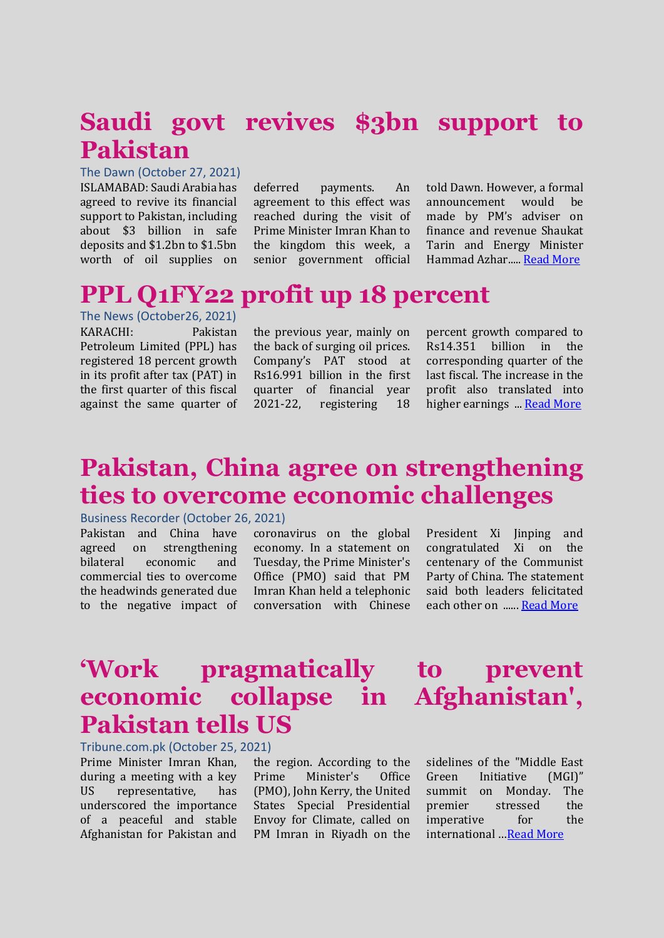### **Saudi govt revives \$3bn support to Pakistan**

The Dawn (October 27, 2021) ISLAMABAD: Saudi Arabia has agreed to revive its financial support to Pakistan, including about \$3 billion in safe deposits and \$1.2bn to \$1.5bn worth of oil supplies on

deferred payments. An agreement to this effect was reached during the visit of Prime Minister Imran Khan to the kingdom this week, a senior government official told Dawn. However, a formal announcement would be made by PM's adviser on finance and revenue Shaukat Tarin and Energy Minister Hammad Azhar....[. Read More](https://www.dawn.com/news/1654273)

### **PPL Q1FY22 profit up 18 percent**

The News (October26, 2021) KARACHI: Pakistan Petroleum Limited (PPL) has registered 18 percent growth in its profit after tax (PAT) in the first quarter of this fiscal against the same quarter of

the previous year, mainly on the back of surging oil prices. Company's PAT stood at Rs16.991 billion in the first quarter of financial year 2021-22, registering 18 percent growth compared to Rs14.351 billion in the corresponding quarter of the last fiscal. The increase in the profit also translated into higher earnings ..[. Read More](https://www.thenews.com.pk/print/903094-ppl-q1fy22-profit-up-18-percent)

### **Pakistan, China agree on strengthening ties to overcome economic challenges**

#### Business Recorder (October 26, 2021)

Pakistan and China have agreed on strengthening bilateral economic and commercial ties to overcome the headwinds generated due to the negative impact of

coronavirus on the global economy. In a statement on Tuesday, the Prime Minister's Office (PMO) said that PM Imran Khan held a telephonic conversation with Chinese President Xi linping and congratulated Xi on the centenary of the Communist Party of China. The statement said both leaders felicitated each other on .....[. Read More](https://www.brecorder.com/news/40129127)

## **'Work pragmatically to prevent economic collapse in Afghanistan', Pakistan tells US**

Tribune.com.pk (October 25, 2021)

Prime Minister Imran Khan, during a meeting with a key US representative, has underscored the importance of a peaceful and stable Afghanistan for Pakistan and

the region. According to the Prime Minister's Office (PMO), John Kerry, the United States Special Presidential Envoy for Climate, called on PM Imran in Riyadh on the sidelines of the "Middle East Green Initiative (MGI)" summit on Monday. The premier stressed the imperative for the international …[Read More](https://tribune.com.pk/story/2326314/work-pragmatically-to-prevent-economic-collapse-in-afghanistan-pakistan-tells-us)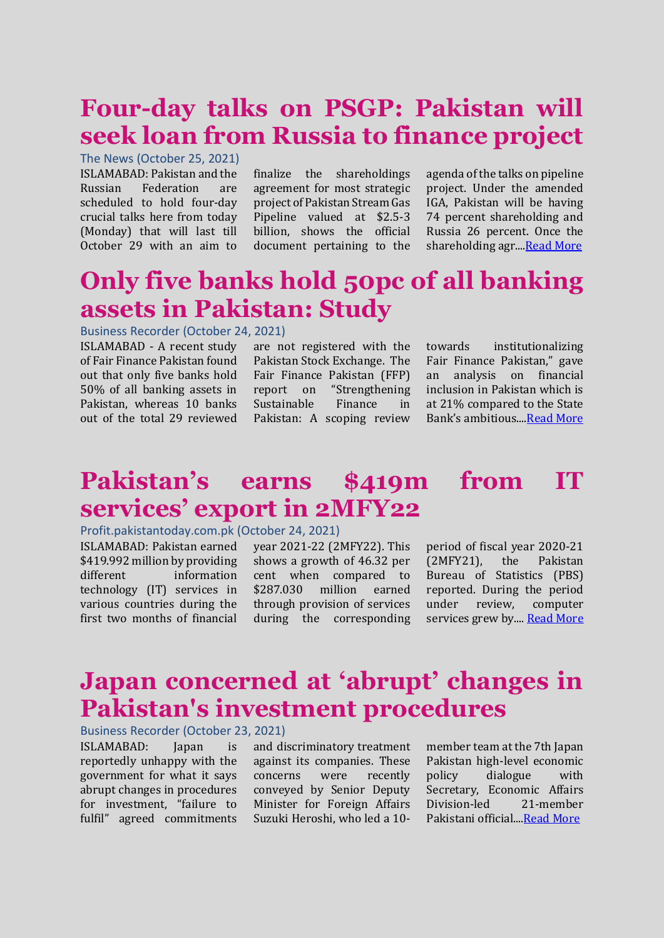# **Four-day talks on PSGP: Pakistan will seek loan from Russia to finance project**

#### The News (October 25, 2021)

ISLAMABAD: Pakistan and the Russian Federation are scheduled to hold four-day crucial talks here from today (Monday) that will last till October 29 with an aim to

finalize the shareholdings agreement for most strategic project of Pakistan Stream Gas Pipeline valued at \$2.5-3 billion, shows the official document pertaining to the

agenda of the talks on pipeline project. Under the amended IGA, Pakistan will be having 74 percent shareholding and Russia 26 percent. Once the shareholding agr..[..Read More](https://www.thenews.com.pk/print/902930-four-day-talks-on-psgp-pakistan-will-seek-loan-from-russia-to-finance-project)

### **Only five banks hold 50pc of all banking assets in Pakistan: Study**

#### Business Recorder (October 24, 2021)

ISLAMABAD - A recent study of Fair Finance Pakistan found out that only five banks hold 50% of all banking assets in Pakistan, whereas 10 banks out of the total 29 reviewed

are not registered with the Pakistan Stock Exchange. The Fair Finance Pakistan (FFP) report on "Strengthening Sustainable Finance in Pakistan: A scoping review towards institutionalizing Fair Finance Pakistan," gave an analysis on financial inclusion in Pakistan which is at 21% compared to the State Bank's ambitious..[..Read More](https://nation.com.pk/24-Oct-2021/only-five-banks-hold-50pc-of-all-banking-assets-in-pakistan-study)

### **Pakistan's earns \$419m from IT services' export in 2MFY22**

#### Profit.pakistantoday.com.pk (October 24, 2021)

ISLAMABAD: Pakistan earned \$419.992 million by providing different information technology (IT) services in various countries during the first two months of financial

year 2021-22 (2MFY22). This shows a growth of 46.32 per cent when compared to \$287.030 million earned through provision of services during the corresponding

period of fiscal year 2020-21 (2MFY21), the Pakistan Bureau of Statistics (PBS) reported. During the period under review, computer services grew by...[. Read More](https://profit.pakistantoday.com.pk/2021/10/24/pakistans-earns-419m-from-it-services-export-in-2mfy22/)

# **Japan concerned at 'abrupt' changes in Pakistan's investment procedures**

Business Recorder (October 23, 2021)

ISLAMABAD: Japan is reportedly unhappy with the government for what it says abrupt changes in procedures for investment, "failure to fulfil" agreed commitments and discriminatory treatment against its companies. These concerns were recently conveyed by Senior Deputy Minister for Foreign Affairs Suzuki Heroshi, who led a 10member team at the 7th Japan Pakistan high-level economic policy dialogue with Secretary, Economic Affairs Division-led 21-member Pakistani official..[..Read More](https://www.brecorder.com/news/40100810)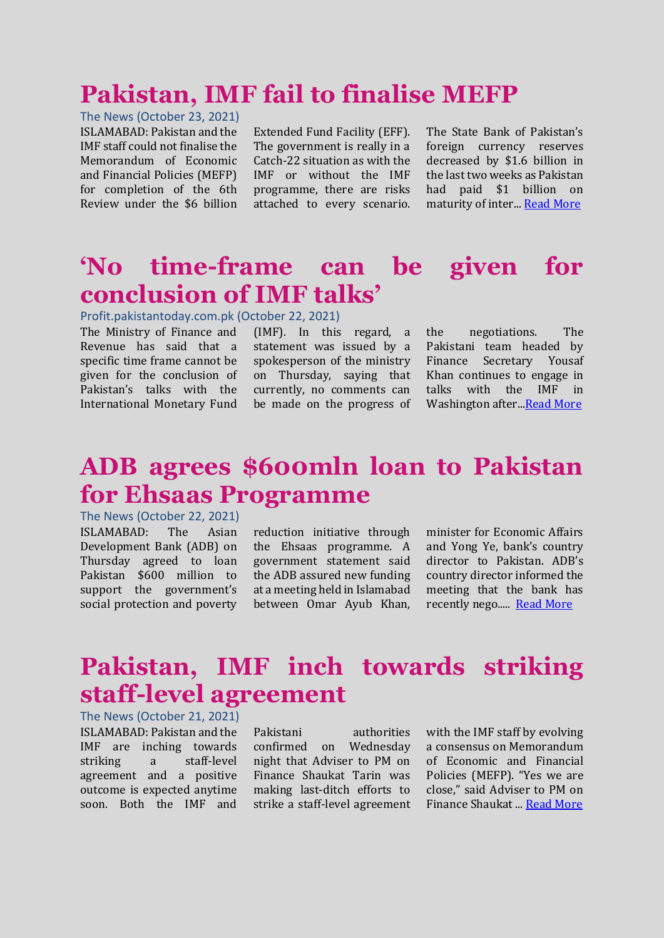### **Pakistan, IMF fail to finalise MEFP**

#### The News (October 23, 2021)

ISLAMABAD: Pakistan and the IMF staff could not finalise the Memorandum of Economic and Financial Policies (MEFP) for completion of the 6th Review under the \$6 billion

Extended Fund Facility (EFF). The government is really in a Catch-22 situation as with the IMF or without the IMF programme, there are risks attached to every scenario.

The State Bank of Pakistan's foreign currency reserves decreased by \$1.6 billion in the last two weeks as Pakistan had paid \$1 billion on maturity of inter... [Read More](https://www.thenews.com.pk/print/902349-pakistan-imf-fail-to-finalise-mefp)

### **'No time-frame can be given for conclusion of IMF talks'**

#### Profit.pakistantoday.com.pk (October 22, 2021)

The Ministry of Finance and Revenue has said that a specific time frame cannot be given for the conclusion of Pakistan's talks with the International Monetary Fund

(IMF). In this regard, a statement was issued by a spokesperson of the ministry on Thursday, saying that currently, no comments can be made on the progress of

the negotiations. The Pakistani team headed by Finance Secretary Yousaf Khan continues to engage in talks with the IMF in Washington after..[.Read More](https://profit.pakistantoday.com.pk/2021/10/22/pakistan-imf-talks-continue-as-tarin-leaves-us/)

#### **ADB agrees \$600mln loan to Pakistan for Ehsaas Programme**

The News (October 22, 2021) ISLAMABAD: The Asian Development Bank (ADB) on Thursday agreed to loan Pakistan \$600 million to support the government's social protection and poverty

reduction initiative through the Ehsaas programme. A government statement said the ADB assured new funding at a meeting held in Islamabad between Omar Ayub Khan, minister for Economic Affairs and Yong Ye, bank's country director to Pakistan. ADB's country director informed the meeting that the bank has recently nego..... [Read More](https://www.thenews.com.pk/print/902034-adb-agrees-600mln-loan-to-pakistan-for-ehsaas-programme)

### **Pakistan, IMF inch towards striking staff-level agreement**

The News (October 21, 2021) ISLAMABAD: Pakistan and the IMF are inching towards striking a staff-level agreement and a positive outcome is expected anytime soon. Both the IMF and

Pakistani authorities confirmed on Wednesday night that Adviser to PM on Finance Shaukat Tarin was making last-ditch efforts to strike a staff-level agreement with the IMF staff by evolving a consensus on Memorandum of Economic and Financial Policies (MEFP). "Yes we are close," said Adviser to PM on Finance Shaukat ..[. Read More](https://www.thenews.com.pk/print/901841-pakistan-imf-inch-towards-striking-staff-level-agreement)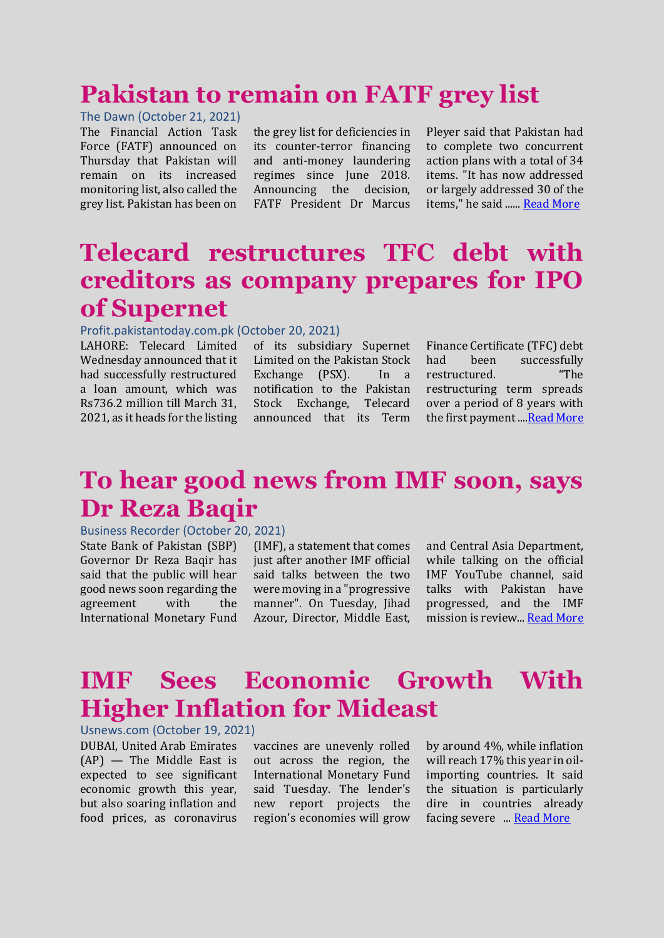### **Pakistan to remain on FATF grey list**

The Dawn (October 21, 2021) The Financial Action Task Force (FATF) announced on Thursday that Pakistan will remain on its increased monitoring list, also called the grey list. Pakistan has been on

the grey list for deficiencies in its counter-terror financing and anti-money laundering regimes since June 2018. Announcing the decision, FATF President Dr Marcus Pleyer said that Pakistan had to complete two concurrent action plans with a total of 34 items. "It has now addressed or largely addressed 30 of the items," he said ...... [Read More](https://www.dawn.com/news/1653195)

# **Telecard restructures TFC debt with creditors as company prepares for IPO of Supernet**

#### Profit.pakistantoday.com.pk (October 20, 2021)

LAHORE: Telecard Limited Wednesday announced that it had successfully restructured a loan amount, which was Rs736.2 million till March 31, 2021, as it heads for the listing of its subsidiary Supernet Limited on the Pakistan Stock Exchange (PSX). In a notification to the Pakistan Stock Exchange, Telecard announced that its Term

Finance Certificate (TFC) debt had been successfully restructured. "The restructuring term spreads over a period of 8 years with the first payment .... Read More

# **To hear good news from IMF soon, says Dr Reza Baqir**

#### Business Recorder (October 20, 2021)

State Bank of Pakistan (SBP) Governor Dr Reza Baqir has said that the public will hear good news soon regarding the agreement with the International Monetary Fund

(IMF), a statement that comes just after another IMF official said talks between the two were moving in a "progressive manner". On Tuesday, Jihad Azour, Director, Middle East,

and Central Asia Department, while talking on the official IMF YouTube channel, said talks with Pakistan have progressed, and the IMF mission is review... [Read More](https://www.brecorder.com/news/40127821)

### **IMF Sees Economic Growth With Higher Inflation for Mideast**

Usnews.com (October 19, 2021)

DUBAI, United Arab Emirates (AP) — The Middle East is expected to see significant economic growth this year, but also soaring inflation and food prices, as coronavirus vaccines are unevenly rolled out across the region, the International Monetary Fund said Tuesday. The lender's new report projects the region's economies will grow by around 4%, while inflation will reach 17% this year in oilimporting countries. It said the situation is particularly dire in countries already facing severe ... **[Read More](https://www.usnews.com/news/world/articles/2021-10-19/imf-sees-economic-growth-with-higher-inflation-for-mideast)**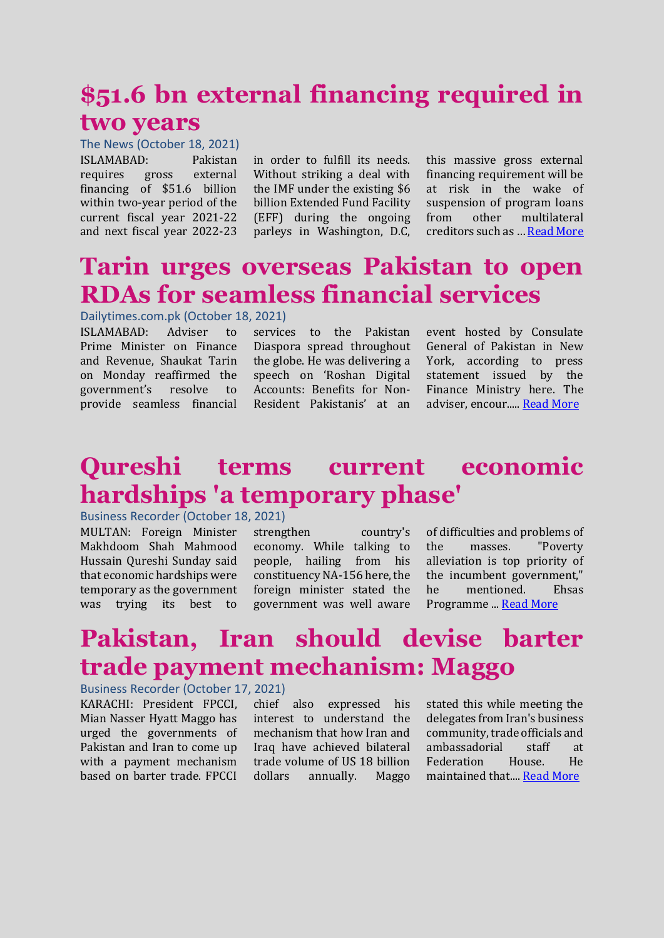# **\$51.6 bn external financing required in two years**

The News (October 18, 2021) ISLAMABAD: Pakistan requires gross external financing of \$51.6 billion within two-year period of the current fiscal year 2021-22 and next fiscal year 2022-23

in order to fulfill its needs. Without striking a deal with the IMF under the existing \$6 billion Extended Fund Facility (EFF) during the ongoing parleys in Washington, D.C,

this massive gross external financing requirement will be at risk in the wake of suspension of program loans from other multilateral creditors such as … [Read More](https://www.thenews.com.pk/print/901487-51-6-bn-external-financing-required-in-two-years)

## **Tarin urges overseas Pakistan to open RDAs for seamless financial services**

#### Dailytimes.com.pk (October 18, 2021)

ISLAMABAD: Adviser to Prime Minister on Finance and Revenue, Shaukat Tarin on Monday reaffirmed the government's resolve to provide seamless financial

services to the Pakistan Diaspora spread throughout the globe. He was delivering a speech on 'Roshan Digital Accounts: Benefits for Non-Resident Pakistanis' at an event hosted by Consulate General of Pakistan in New York, according to press statement issued by the Finance Ministry here. The adviser, encour....[. Read More](https://dailytimes.com.pk/831072/tarin-urges-overseas-pakistan-to-open-rdas-for-seamless-financial-services/)

### **Qureshi terms current economic hardships 'a temporary phase'**

#### Business Recorder (October 18, 2021)

MULTAN: Foreign Minister Makhdoom Shah Mahmood Hussain Qureshi Sunday said that economic hardships were temporary as the government was trying its best to

strengthen country's economy. While talking to people, hailing from his constituency NA-156 here, the foreign minister stated the government was well aware

of difficulties and problems of the masses. "Poverty alleviation is top priority of the incumbent government," he mentioned. Ehsas Programme ... [Read More](https://www.brecorder.com/news/40127444)

## **Pakistan, Iran should devise barter trade payment mechanism: Maggo**

#### Business Recorder (October 17, 2021)

KARACHI: President FPCCI, Mian Nasser Hyatt Maggo has urged the governments of Pakistan and Iran to come up with a payment mechanism based on barter trade. FPCCI chief also expressed his interest to understand the mechanism that how Iran and Iraq have achieved bilateral trade volume of US 18 billion dollars annually. Maggo

stated this while meeting the delegates from Iran's business community, trade officials and ambassadorial staff at Federation House. He maintained that.... [Read More](https://www.brecorder.com/news/40127288)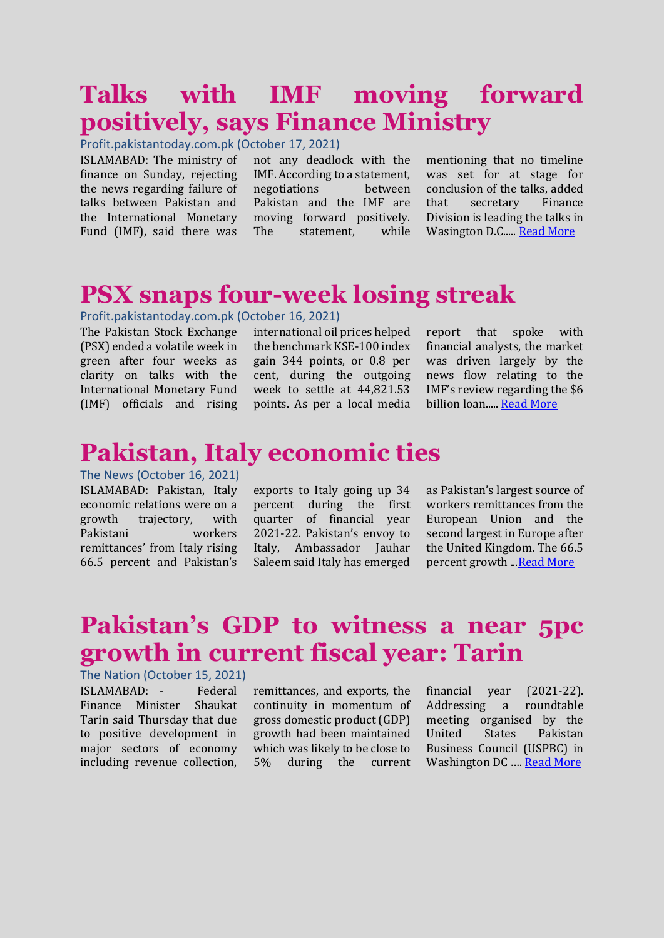# **Talks with IMF moving forward positively, says Finance Ministry**

Profit.pakistantoday.com.pk (October 17, 2021)

ISLAMABAD: The ministry of finance on Sunday, rejecting the news regarding failure of talks between Pakistan and the International Monetary Fund (IMF), said there was

not any deadlock with the IMF. According to a statement, negotiations between Pakistan and the IMF are moving forward positively. The statement, while

mentioning that no timeline was set for at stage for conclusion of the talks, added that secretary Finance Division is leading the talks in Wasington D.C..... [Read More](https://profit.pakistantoday.com.pk/2021/10/17/talks-with-imf-moving-forward-positively-says-finance-ministry/)

### **PSX snaps four-week losing streak**

#### Profit.pakistantoday.com.pk (October 16, 2021)

The Pakistan Stock Exchange (PSX) ended a volatile week in green after four weeks as clarity on talks with the International Monetary Fund (IMF) officials and rising

international oil prices helped the benchmark KSE-100 index gain 344 points, or 0.8 per cent, during the outgoing week to settle at 44,821.53 points. As per a local media

report that spoke with financial analysts, the market was driven largely by the news flow relating to the IMF's review regarding the \$6 billion loan..... [Read More](https://profit.pakistantoday.com.pk/2021/10/16/psx-snaps-four-week-losing-streak/)

#### **Pakistan, Italy economic ties**

The News (October 16, 2021) ISLAMABAD: Pakistan, Italy economic relations were on a growth trajectory, with Pakistani workers remittances' from Italy rising 66.5 percent and Pakistan's

exports to Italy going up 34 percent during the first quarter of financial year 2021-22. Pakistan's envoy to Italy, Ambassador Jauhar Saleem said Italy has emerged

as Pakistan's largest source of workers remittances from the European Union and the second largest in Europe after the United Kingdom. The 66.5 percent growth .[..Read More](https://www.thenews.com.pk/print/900677-pakistan-italy-economic-ties)

# **Pakistan's GDP to witness a near 5pc growth in current fiscal year: Tarin**

The Nation (October 15, 2021)

ISLAMABAD: - Federal Finance Minister Shaukat Tarin said Thursday that due to positive development in major sectors of economy including revenue collection, remittances, and exports, the continuity in momentum of gross domestic product (GDP) growth had been maintained which was likely to be close to 5% during the current

financial year (2021-22). Addressing a roundtable meeting organised by the United States Pakistan Business Council (USPBC) in Washington DC …. [Read More](https://nation.com.pk/15-Oct-2021/pakistan-s-gdp-to-witness-a-near-5pc-growth-in-current-fiscal-year-tarin)